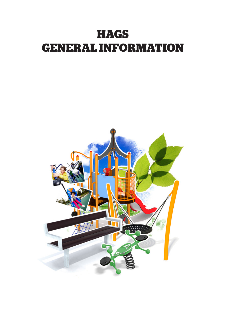# **HAGS GENERAL INFORMATION**

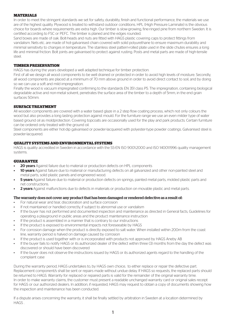# **MATERIALS**

In order to meet the stringent standards we set for safety, durability, finish and functional performance, the materials we use are of the highest quality. Plywood is treated to withstand outdoor conditions. HPL (High Pressure Laminate) is the obvious choice for boards where requirements are extra high. Our timber is slow-growing, fine-ringed pine from northern Sweden. It is certified according to FSC or PEFC. The timber is planed and the edges rounded.

Sand boxes are made of oak. Bolt-heads and nuts are fitted with HAGS plastic covering caps to protect fittings from vandalism. Nets etc. are made of hot-galvanised chain covered with solid polyurethane to ensure maximum durability and minimal sensitivity to changes in temperature. The stainless steel pattern-rolled plate used in the slide chutes ensures a long life and minimal friction. Bolt joints are galvanised to protect against rusting. Posts and metal parts are made of high-tensile steel.

# **TIMBER PRESERVATION**

HAGS has during the years developed a well adapted technique for timber protection:

First of all we design all wood components to be well drained or protected in order to avoid high levels of moisture. Secondly, all wood components are placed at a minimum of 70 mm above ground in order to avoid direct contact to soil, and by doing so we can use a soft and mild impregnation.

Finally the wood is vacuum impregnated confirming to the standards EN 351 class P5. The impregnation, containing biological degradable active and non-metal solvent, penetrates the surface area of the timber to a depth of 5mm, in the end grain surfaces 50mm.

#### **SURFACE TREATMENT**

All wooden components are covered with a water based glaze in a 2 step flow coating process, which not only colours the wood but also provides a long lasting protection against mould. For the furniture range we use an even milder type of water based ground oil as moldprotection. Covering topcoats are occasionally used for the play and park products. Certain furniture can be ordered only treated with the ground oil.

Steel components are either hot-dip galvanised or powder-lacquered with polyester-type powder coatings. Galvanised steel is powder-lacquered.

## **QUALITY SYSTEMS AND ENVIRONMENTAL SYSTEMS**

HAGS is quality accredited in Sweden in accordance with the SS-EN ISO 9001:2000 and ISO 14001:1996 quality management systems.

#### **GUARANTEE**

- **20 years** Against failure due to material or production defects on HPL components
- **10 years** Against failure due to material or manufacturing defects on all galvanized and other non-painted steel and metal parts, solid plastic panels and engineered wood.
- **5 years** Against failure due to material or production defects on springs, painted metal parts, molded plastic parts and net constructions.
- 2 years Against malfunctions due to defects in materials or production on movable plastic and metal parts.

## The warranty does not cover any product that has been damaged or rendered defective as a result of:

- For natural wear and tear, discoloration and surface corrosion
- If not maintained or handled correctly, if subject to abnormal use or vandalism
- If the buyer has not performed and documented inspection and maintenance as directed in General facts, Guidelines for operating a playground in public areas and the product maintenance instruction
- If the product is assembled in a manner that is contrary to our instructions
- If the product is exposed to environmental impacts not foreseeable by HAGS
- For corrosion damage when the product is directly exposed to salt water. When installed within 200m from the coast line, warranty period is halved on damage caused by corrosion
- If the product is used together with or is incorporated with products not approved by HAGS Aneby AB
- If the buyer fails to notify HAGS or its authorized dealer of the defect within three (3) months from the day the defect was discovered or should have been discovered
- If the buyer does not observe the instructions issued by HAGS or its authorized agents regard to the handling of the complaint case

During the warranty period, HAGS undertakes to, by HAGS own choice, to either replace or repair the defective part. Replacement component/s shall be sent or repairs made without undue delay. If HAGS so requests, the replaced parts should be returned to HAGS. Warranty for replaced or repaired parts is valid for the remainder of the original warranty time. In order to make warranty claims, the customer must present a readable unchanged warranty card or original sales receipt for HAGS or our authorized dealers. In addition, if requested, HAGS may request to obtain a copy of documents showing how the inspection and maintenance has been conducted.

If a dispute arises concerning the warranty, it shall be finally settled by arbitration in Sweden at a location determined by HAGS .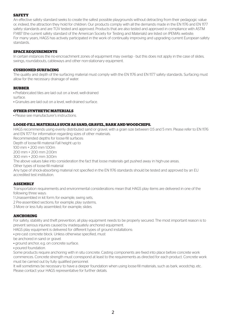# **SAFETY**

An effective safety standard seeks to create the safest possible playgrounds without detracting from their pedagogic value or, indeed, the attraction they hold for children. Our products comply with all the demands made in the EN 1176 and EN 1177 safety standards and are TÜV tested and approved. Products that are also tested and approved in compliance with ASTM F1487 (the current safety standard of the American Society for Testing and Materials) are listed on IPEMA's website. For many years, HAGS has actively participated in the work of continually improving and upgrading current European safety standards.

## **SPACE REQUIREMENTS**

In certain instances the no-encroachment zones of equipment may overlap - but this does not apply in the case of slides, swings, roundabouts, cableways and other non-stationary equipment.

#### **CUSHIONED SURFACING**

The quality and depth of the surfacing material must comply with the EN 1176 and EN 1177 safety standards. Surfacing must allow for the necessary drainage of water.

#### **RUBBER**

• Prefabricated tiles are laid out on a level, well-drained

surface.

• Granules are laid out on a level, well-drained surface.

#### **OTHER SYNTHETIC MATERIALS**

• Please see manufacturer's instructions.

#### **LOOSE-FILL MATERIALS SUCH AS SAND, GRAVEL, BARK AND WOODCHIPS.**

HAGS recommends using evenly distributed sand or gravel, with a grain size between 0.5 and 5 mm. Please refer to EN 1176 and EN 1177 for information regarding sizes of other materials.

Recommended depths for loose-fill surfaces: Depth of loose-fill material Fall height up to

100 mm + 200 mm 1.00m

200 mm + 200 mm 2.00m

300 mm + 200 mm 3.00m

The above values take into consideration the fact that loose materials get pushed away in high-use areas.

Other types of loose-fill material

Any type of shock-absorbing material not specified in the EN 1176 standards should be tested and approved by an EU accredited test institution.

## **ASSEMBLY**

Transportation requirements and environmental considerations mean that HAGS play items are delivered in one of the following three ways:

1 Unassembled in kit form; for example, swing sets,

2 Pre-assembled sections; for example, play systems,

3 More or less fully assembled; for example, slides.

## **ANCHORING**

For safety, stability and theft prevention, all play equipment needs to be properly secured. The most important reason is to prevent serious injuries caused by inadequately anchored equipment.

HAGS play equipment is delivered for different types of ground installations:

- pre-cast concrete block. Unless otherwise specified, must
- be anchored in sand or gravel.
- ground anchor, e.g. on concrete surface.
- poured foundation.

Some products require anchoring with in situ concrete. Casting components are fixed into place before concrete work commences. Concrete strength must correspond at least to the requirements as directed for each product. Concrete work must be carried out by fully qualified personnel.

It will sometimes be necessary to have a deeper foundation when using loose-fill materials, such as bark, woodchip, etc. Please contact your HAGS representative for further details.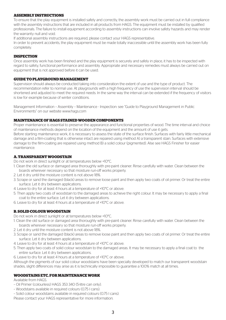## **ASSEMBLY INSTRUCTIONS**

To ensure that the play equipment is installed safely and correctly, the assembly work must be carried out in full compliance with the assembly instructions that are included in all products from HAGS. The equipment must be installed by qualified professionals. The failure to install equipment according to assembly instructions can involve safety hazards and may render the warranty null and void.

If additional assembly instructions are required, please contact your HAGS representative.

In order to prevent accidents, the play equipment must be made totally inaccessible until the assembly work has been fully completely.

## **INSPECTION**

Once assembly work has been finished and the play equipment is securely and safely in place, it has to be inspected with regard to safety, functional performance and assembly. Appropriate and necessary remedies must always be carried out on equipment that is not approved before it can be used.

#### **GUIDE TO PLAYGROUND MANAGEMENT**

Supervision should always be conducted taking into consideration the extent of use and the type of product. The recommendation refer to normal use. At playgrounds with a high frequency of use the supervision interval should be shortened and adjusted to meet the required needs. In the same way the interval can be extended if the frequency of visitors is low for example because of winter conditions.

Management Information – Assembly – Maintenance - Inspection: see "Guide to Playground Management in Public Environments" on our website www.hags.com

# **MAINTENANCE OF HAGS STAINED WOODEN COMPONENTS**

Proper maintenance is essential to preserve the appearance and functional properties of wood. The time interval and choice of maintenance methods depend on the location of the equipment and the amount of use it gets. Before starting maintenance work, it is necessary to assess the state of the surface finish. Surfaces with fairly little mechanical damage and a film-coating that is otherwise intact are repaired using method A) a transparent stain. Surfaces with extensive damage to the film-coating are repaired using method B) a solid colour (pigmented). Alse see HAGS Finisher for easier maintenance.

# **A. TRANSPARENT WOODSTAIN**

Do not work in direct sunlight or at temperatures below +10°C.

- 1. Clean the old surface or damaged area thoroughly with pre-paint cleaner. Rinse carefully with water. Clean between the boards wherever necessary so that moisture run-off works properly.
- 2. Let it dry until the moisture content is not above 18%.
- 3. Scrape or sand the damaged (black) areas to remove loose paint and then apply two coats of oil primer. Or treat the entire surface. Let it dry between applications.
- 4. Leave to dry for at least 4 hours at a temperature of +10°C or above.
- 5. Then apply two coats of woodstain to the damaged areas to achieve the right colour. It may be necessary to apply a final coat to the entire surface. Let it dry between applications.
- 6. Leave to dry for at least 4 hours at a temperature of +10°C or above.

# **B. SOLID COLOUR WOODSTAIN**

Do not work in direct sunlight or at temperatures below +10°C.

- 1. Clean the old surface or damaged area thoroughly with pre-paint cleaner. Rinse carefully with water. Clean between the boards wherever necessary so that moisture run-off works properly.
- 2. Let it dry until the moisture content is not above 18%.
- 3. Scrape or sand the damaged (black) areas to remove loose paint and then apply two coats of oil primer. Or treat the entire surface. Let it dry between applications.
- 4. Leave to dry for at least 4 hours at a temperature of +10°C or above.
- 5. Then apply two coats of solid colour woodstain to the damaged areas. It may be necessary to apply a final coat to the entire surface. Let it dry between applications.
- 6. Leave to dry for at least 4 hours at a temperature of +10°C or above.

Although the pigments of our solid colour woodstains have been specially developed to match our transparent woodstain shades, slight differences may arise as it is technically impossible to guarantee a 100% match at all times.

## **WOODSTAINS ETC. FOR MAINTENANCE WORK**

Available from HAGS.

- Oil Primer (colourless) HAGS 353 340 (5-litre can only).
- Woodstains available in required colours (0.75 l cans).
- Solid colour woodstains available in required colours (0.75 l cans).

Please contact your HAGS representative for more information.